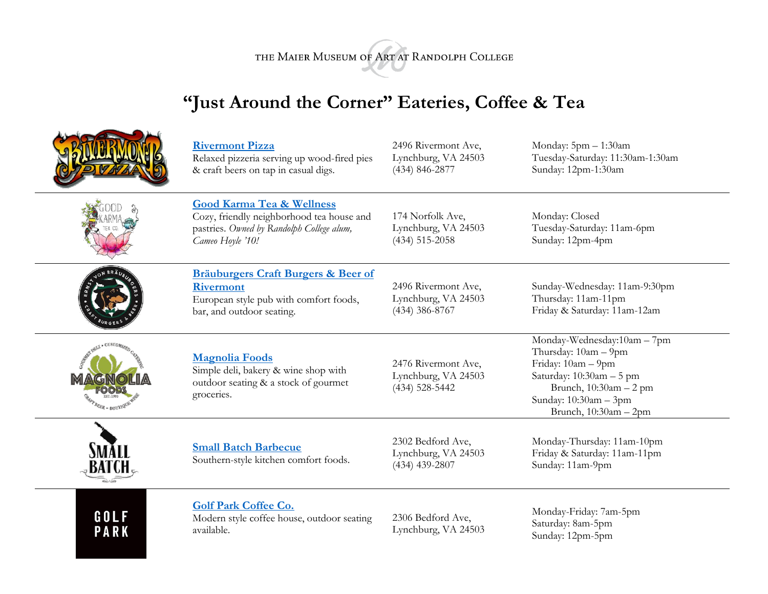THE MAIER MUSEUM OF ART AT RANDOLPH COLLEGE

## **"Just Around the Corner" Eateries, Coffee & Tea**